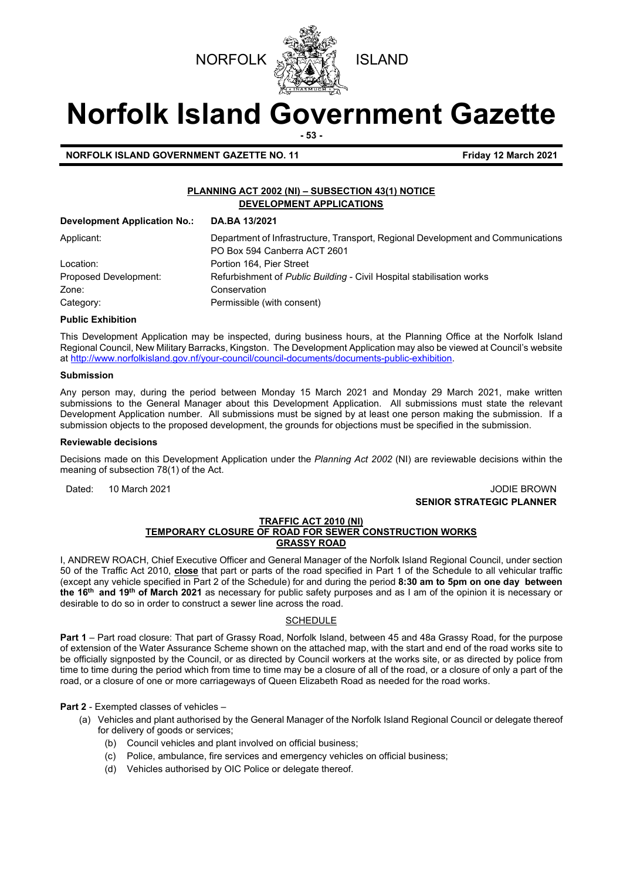



# **Norfolk Island Government Gazette**

**- 53 -**

**NORFOLK ISLAND GOVERNMENT GAZETTE NO. 11 Example 2021** Friday 12 March 2021

#### **PLANNING ACT 2002 (NI) – SUBSECTION 43(1) NOTICE DEVELOPMENT APPLICATIONS**

| <b>Development Application No.:</b> | DA.BA 13/2021                                                                    |
|-------------------------------------|----------------------------------------------------------------------------------|
| Applicant:                          | Department of Infrastructure, Transport, Regional Development and Communications |
|                                     | PO Box 594 Canberra ACT 2601                                                     |
| Location:                           | Portion 164. Pier Street                                                         |
| Proposed Development:               | Refurbishment of Public Building - Civil Hospital stabilisation works            |
| Zone:                               | Conservation                                                                     |
| Category:                           | Permissible (with consent)                                                       |

#### **Public Exhibition**

This Development Application may be inspected, during business hours, at the Planning Office at the Norfolk Island Regional Council, New Military Barracks, Kingston. The Development Application may also be viewed at Council's website a[t http://www.norfolkisland.gov.nf/your-council/council-documents/documents-public-exhibition.](http://www.norfolkisland.gov.nf/your-council/council-documents/documents-public-exhibition) 

#### **Submission**

Any person may, during the period between Monday 15 March 2021 and Monday 29 March 2021, make written submissions to the General Manager about this Development Application. All submissions must state the relevant Development Application number. All submissions must be signed by at least one person making the submission. If a submission objects to the proposed development, the grounds for objections must be specified in the submission.

#### **Reviewable decisions**

Decisions made on this Development Application under the *Planning Act 2002* (NI) are reviewable decisions within the meaning of subsection 78(1) of the Act.

Dated: 10 March 2021 JODIE BROWN **SENIOR STRATEGIC PLANNER** 

#### **TRAFFIC ACT 2010 (NI)**

#### **TEMPORARY CLOSURE OF ROAD FOR SEWER CONSTRUCTION WORKS GRASSY ROAD**

I, ANDREW ROACH, Chief Executive Officer and General Manager of the Norfolk Island Regional Council, under section 50 of the Traffic Act 2010, **close** that part or parts of the road specified in Part 1 of the Schedule to all vehicular traffic (except any vehicle specified in Part 2 of the Schedule) for and during the period **8:30 am to 5pm on one day between the 16th and 19th of March 2021** as necessary for public safety purposes and as I am of the opinion it is necessary or desirable to do so in order to construct a sewer line across the road.

#### **SCHEDULE**

**Part 1** – Part road closure: That part of Grassy Road, Norfolk Island, between 45 and 48a Grassy Road, for the purpose of extension of the Water Assurance Scheme shown on the attached map, with the start and end of the road works site to be officially signposted by the Council, or as directed by Council workers at the works site, or as directed by police from time to time during the period which from time to time may be a closure of all of the road, or a closure of only a part of the road, or a closure of one or more carriageways of Queen Elizabeth Road as needed for the road works.

**Part 2** - Exempted classes of vehicles –

- (a) Vehicles and plant authorised by the General Manager of the Norfolk Island Regional Council or delegate thereof for delivery of goods or services;
	- (b) Council vehicles and plant involved on official business;
	- (c) Police, ambulance, fire services and emergency vehicles on official business;
	- (d) Vehicles authorised by OIC Police or delegate thereof.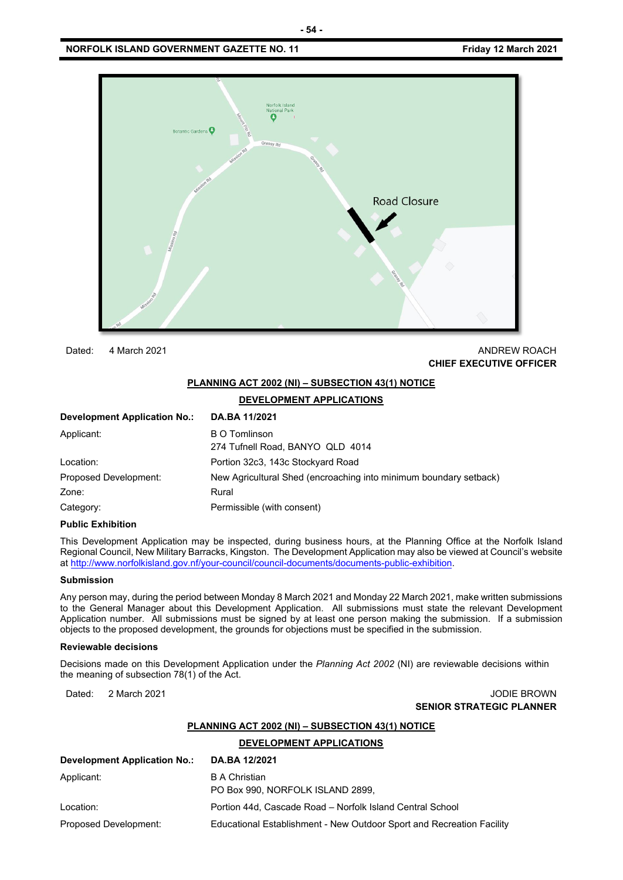#### **NORFOLK ISLAND GOVERNMENT GAZETTE NO. 11 Friday 12 March 2021**



Dated: 4 March 2021 **ANDREW ROACH CONSULTER AND ANDREW ROACH** 

## **CHIEF EXECUTIVE OFFICER**

#### **PLANNING ACT 2002 (NI) – SUBSECTION 43(1) NOTICE**

#### **DEVELOPMENT APPLICATIONS**

| <b>Development Application No.:</b> | DA.BA 11/2021                                                     |
|-------------------------------------|-------------------------------------------------------------------|
| Applicant:                          | <b>B O Tomlinson</b><br>274 Tufnell Road, BANYO QLD 4014          |
| Location:                           | Portion 32c3, 143c Stockyard Road                                 |
| Proposed Development:               | New Agricultural Shed (encroaching into minimum boundary setback) |
| Zone:                               | Rural                                                             |
| Category:                           | Permissible (with consent)                                        |

#### **Public Exhibition**

This Development Application may be inspected, during business hours, at the Planning Office at the Norfolk Island Regional Council, New Military Barracks, Kingston. The Development Application may also be viewed at Council's website a[t http://www.norfolkisland.gov.nf/your-council/council-documents/documents-public-exhibition.](http://www.norfolkisland.gov.nf/your-council/council-documents/documents-public-exhibition) 

#### **Submission**

Any person may, during the period between Monday 8 March 2021 and Monday 22 March 2021, make written submissions to the General Manager about this Development Application. All submissions must state the relevant Development Application number. All submissions must be signed by at least one person making the submission. If a submission objects to the proposed development, the grounds for objections must be specified in the submission.

#### **Reviewable decisions**

Decisions made on this Development Application under the *Planning Act 2002* (NI) are reviewable decisions within the meaning of subsection 78(1) of the Act.

#### Dated: 2 March 2021 JODIE BROWN **SENIOR STRATEGIC PLANNER**

#### **PLANNING ACT 2002 (NI) – SUBSECTION 43(1) NOTICE**

**DEVELOPMENT APPLICATIONS**

| <b>Development Application No.:</b> | DA.BA 12/2021                                                         |
|-------------------------------------|-----------------------------------------------------------------------|
| Applicant:                          | <b>B</b> A Christian<br>PO Box 990, NORFOLK ISLAND 2899.              |
| Location:                           | Portion 44d, Cascade Road - Norfolk Island Central School             |
| Proposed Development:               | Educational Establishment - New Outdoor Sport and Recreation Facility |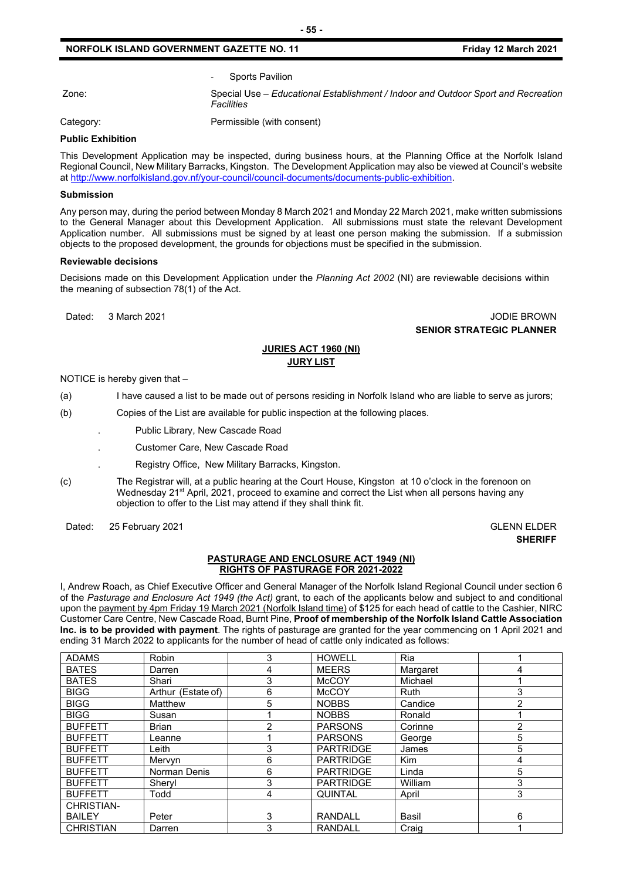Sports Pavilion

Zone: Special Use – *Educational Establishment / Indoor and Outdoor Sport and Recreation Facilities* 

Category: Category: Permissible (with consent)

#### **Public Exhibition**

This Development Application may be inspected, during business hours, at the Planning Office at the Norfolk Island Regional Council, New Military Barracks, Kingston. The Development Application may also be viewed at Council's website a[t http://www.norfolkisland.gov.nf/your-council/council-documents/documents-public-exhibition.](http://www.norfolkisland.gov.nf/your-council/council-documents/documents-public-exhibition) 

#### **Submission**

Any person may, during the period between Monday 8 March 2021 and Monday 22 March 2021, make written submissions to the General Manager about this Development Application. All submissions must state the relevant Development Application number. All submissions must be signed by at least one person making the submission. If a submission objects to the proposed development, the grounds for objections must be specified in the submission.

#### **Reviewable decisions**

Decisions made on this Development Application under the *Planning Act 2002* (NI) are reviewable decisions within the meaning of subsection 78(1) of the Act.

#### Dated: 3 March 2021 JODIE BROWN **SENIOR STRATEGIC PLANNER**

#### **JURIES ACT 1960 (NI) JURY LIST**

NOTICE is hereby given that –

(a) I have caused a list to be made out of persons residing in Norfolk Island who are liable to serve as jurors;

(b) Copies of the List are available for public inspection at the following places.

- . Public Library, New Cascade Road
	- . Customer Care, New Cascade Road
	- . Registry Office, New Military Barracks, Kingston.
- (c) The Registrar will, at a public hearing at the Court House, Kingston at 10 o'clock in the forenoon on Wednesday 21<sup>st</sup> April, 2021, proceed to examine and correct the List when all persons having any objection to offer to the List may attend if they shall think fit.

Dated: 25 February 2021 **GLENN ELDER** 

## **SHERIFF**

#### **PASTURAGE AND ENCLOSURE ACT 1949 (NI) RIGHTS OF PASTURAGE FOR 2021-2022**

I, Andrew Roach, as Chief Executive Officer and General Manager of the Norfolk Island Regional Council under section 6 of the *Pasturage and Enclosure Act 1949 (the Act)* grant, to each of the applicants below and subject to and conditional upon the payment by 4pm Friday 19 March 2021 (Norfolk Island time) of \$125 for each head of cattle to the Cashier, NIRC Customer Care Centre, New Cascade Road, Burnt Pine, **Proof of membership of the Norfolk Island Cattle Association Inc. is to be provided with payment**. The rights of pasturage are granted for the year commencing on 1 April 2021 and ending 31 March 2022 to applicants for the number of head of cattle only indicated as follows:

| <b>ADAMS</b>     | Robin              | 3 | <b>HOWELL</b>    | Ria          |   |
|------------------|--------------------|---|------------------|--------------|---|
| <b>BATES</b>     | Darren             | 4 | <b>MEERS</b>     | Margaret     | 4 |
| <b>BATES</b>     | Shari              | 3 | <b>McCOY</b>     | Michael      |   |
| <b>BIGG</b>      | Arthur (Estate of) | 6 | <b>McCOY</b>     | <b>Ruth</b>  | 3 |
| <b>BIGG</b>      | Matthew            | 5 | <b>NOBBS</b>     | Candice      | 2 |
| <b>BIGG</b>      | Susan              |   | <b>NOBBS</b>     | Ronald       |   |
| <b>BUFFETT</b>   | <b>Brian</b>       | 2 | <b>PARSONS</b>   | Corinne      | 2 |
| <b>BUFFETT</b>   | Leanne             |   | <b>PARSONS</b>   | George       | 5 |
| <b>BUFFETT</b>   | Leith              | 3 | <b>PARTRIDGE</b> | James        | 5 |
| <b>BUFFETT</b>   | Mervyn             | 6 | <b>PARTRIDGE</b> | <b>Kim</b>   | 4 |
| <b>BUFFETT</b>   | Norman Denis       | 6 | <b>PARTRIDGE</b> | Linda        | 5 |
| <b>BUFFETT</b>   | Shervl             | 3 | <b>PARTRIDGE</b> | William      | 3 |
| <b>BUFFETT</b>   | Todd               | 4 | QUINTAL          | April        | 3 |
| CHRISTIAN-       |                    |   |                  |              |   |
| <b>BAILEY</b>    | Peter              | 3 | RANDALL          | <b>Basil</b> | 6 |
| <b>CHRISTIAN</b> | Darren             | 3 | <b>RANDALL</b>   | Craig        |   |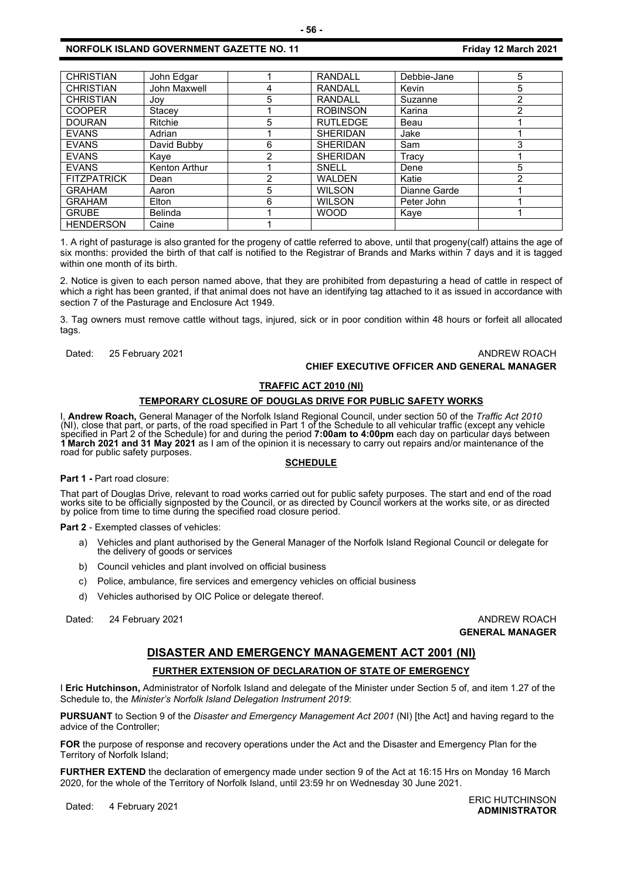| <b>CHRISTIAN</b>   | John Edgar     |   | <b>RANDALL</b>  | Debbie-Jane  | 5 |
|--------------------|----------------|---|-----------------|--------------|---|
| <b>CHRISTIAN</b>   | John Maxwell   |   | <b>RANDALL</b>  | Kevin        | 5 |
| <b>CHRISTIAN</b>   | Jov            | 5 | RANDALL         | Suzanne      | 2 |
| <b>COOPER</b>      | Stacey         |   | <b>ROBINSON</b> | Karina       | ∩ |
| <b>DOURAN</b>      | Ritchie        | 5 | <b>RUTLEDGE</b> | Beau         |   |
| <b>EVANS</b>       | Adrian         |   | <b>SHERIDAN</b> | Jake         |   |
| <b>EVANS</b>       | David Bubby    | 6 | <b>SHERIDAN</b> | Sam          | 3 |
| <b>EVANS</b>       | Kaye           | 2 | <b>SHERIDAN</b> | Tracv        |   |
| <b>EVANS</b>       | Kenton Arthur  |   | SNELL           | Dene         | 5 |
| <b>FITZPATRICK</b> | Dean           | 2 | <b>WALDEN</b>   | Katie        | 2 |
| <b>GRAHAM</b>      | Aaron          | 5 | <b>WILSON</b>   | Dianne Garde |   |
| <b>GRAHAM</b>      | Elton          | 6 | <b>WILSON</b>   | Peter John   |   |
| <b>GRUBE</b>       | <b>Belinda</b> |   | <b>WOOD</b>     | Kaye         |   |
| <b>HENDERSON</b>   | Caine          |   |                 |              |   |

1. A right of pasturage is also granted for the progeny of cattle referred to above, until that progeny(calf) attains the age of six months: provided the birth of that calf is notified to the Registrar of Brands and Marks within 7 days and it is tagged within one month of its birth.

2. Notice is given to each person named above, that they are prohibited from depasturing a head of cattle in respect of which a right has been granted, if that animal does not have an identifying tag attached to it as issued in accordance with section 7 of the Pasturage and Enclosure Act 1949.

3. Tag owners must remove cattle without tags, injured, sick or in poor condition within 48 hours or forfeit all allocated tags.

### Dated: 25 February 2021 **ANDREW ROACH CONSULTER STATES AND ANDREW ROACH**

### **CHIEF EXECUTIVE OFFICER AND GENERAL MANAGER**

#### **TRAFFIC ACT 2010 (NI)**

#### **TEMPORARY CLOSURE OF DOUGLAS DRIVE FOR PUBLIC SAFETY WORKS**

I, **Andrew Roach,** General Manager of the Norfolk Island Regional Council, under section 50 of the *Traffic Act 2010* (NI), close that part, or parts, of the road specified in Part 1 of the Schedule to all vehicular traffic (except any vehicle specified in Part 2 of the Schedule) for and during the period **7:00am to 4:00pm** each day on particular days between **<sup>1</sup> March <sup>2021</sup> and 31 May <sup>2021</sup>** as I am of the opinion it is necessary to carry out repairs and/or maintenance of the road for public safety purposes.

#### **SCHEDULE**

#### Part 1 - Part road closure:

That part of Douglas Drive, relevant to road works carried out for public safety purposes. The start and end of the road works site to be officially signposted by the Council, or as directed by Council workers at the works site, or as directed by police from time to time during the specified road closure period.

**Part 2** - Exempted classes of vehicles:

- a) Vehicles and plant authorised by the General Manager of the Norfolk Island Regional Council or delegate for the delivery of goods or services
- b) Council vehicles and plant involved on official business
- c) Police, ambulance, fire services and emergency vehicles on official business
- d) Vehicles authorised by OIC Police or delegate thereof.

Dated: 24 February 2021 **ANDREW ROACH CONSUMING THE SET OF ANDREW ROACH** 

**GENERAL MANAGER**

#### **DISASTER AND EMERGENCY MANAGEMENT ACT 2001 (NI)**

#### **FURTHER EXTENSION OF DECLARATION OF STATE OF EMERGENCY**

I **Eric Hutchinson,** Administrator of Norfolk Island and delegate of the Minister under Section 5 of, and item 1.27 of the Schedule to, the *Minister's Norfolk Island Delegation Instrument 2019*:

**PURSUANT** to Section 9 of the *Disaster and Emergency Management Act 2001* (NI) [the Act] and having regard to the advice of the Controller;

**FOR** the purpose of response and recovery operations under the Act and the Disaster and Emergency Plan for the Territory of Norfolk Island;

**FURTHER EXTEND** the declaration of emergency made under section 9 of the Act at 16:15 Hrs on Monday 16 March 2020, for the whole of the Territory of Norfolk Island, until 23:59 hr on Wednesday 30 June 2021.

Dated: 4 February 2021<br>Dated: 4 February 2021 **ADMINISTRATOR**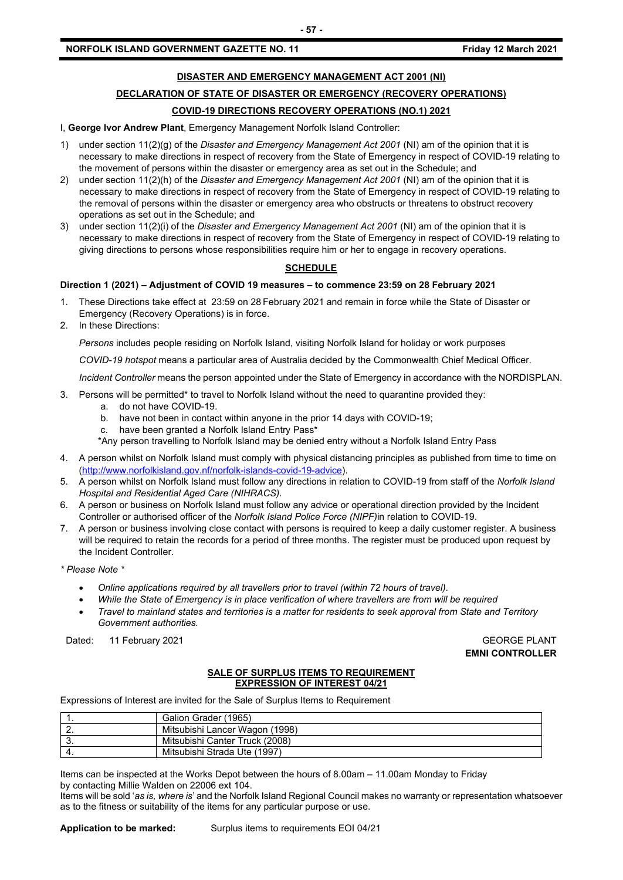#### **DISASTER AND EMERGENCY MANAGEMENT ACT 2001 (NI)**

**- 57 -**

## **DECLARATION OF STATE OF DISASTER OR EMERGENCY (RECOVERY OPERATIONS)**

#### **COVID-19 DIRECTIONS RECOVERY OPERATIONS (NO.1) 2021**

I, **George Ivor Andrew Plant**, Emergency Management Norfolk Island Controller:

- 1) under section 11(2)(g) of the *Disaster and Emergency Management Act 2001* (NI) am of the opinion that it is necessary to make directions in respect of recovery from the State of Emergency in respect of COVID-19 relating to the movement of persons within the disaster or emergency area as set out in the Schedule; and
- 2) under section 11(2)(h) of the *Disaster and Emergency Management Act 2001* (NI) am of the opinion that it is necessary to make directions in respect of recovery from the State of Emergency in respect of COVID-19 relating to the removal of persons within the disaster or emergency area who obstructs or threatens to obstruct recovery operations as set out in the Schedule; and
- 3) under section 11(2)(i) of the *Disaster and Emergency Management Act 2001* (NI) am of the opinion that it is necessary to make directions in respect of recovery from the State of Emergency in respect of COVID-19 relating to giving directions to persons whose responsibilities require him or her to engage in recovery operations.

#### **SCHEDULE**

#### **Direction 1 (2021) – Adjustment of COVID 19 measures – to commence 23:59 on 28 February 2021**

- 1. These Directions take effect at 23:59 on 28 February 2021 and remain in force while the State of Disaster or Emergency (Recovery Operations) is in force.
- 2. In these Directions:

*Persons* includes people residing on Norfolk Island, visiting Norfolk Island for holiday or work purposes

*COVID-19 hotspot* means a particular area of Australia decided by the Commonwealth Chief Medical Officer.

*Incident Controller* means the person appointed under the State of Emergency in accordance with the NORDISPLAN.

- 3. Persons will be permitted\* to travel to Norfolk Island without the need to quarantine provided they:
	- a. do not have COVID-19.
	- b. have not been in contact within anyone in the prior 14 days with COVID-19;
	- c. have been granted a Norfolk Island Entry Pass\*
	- \*Any person travelling to Norfolk Island may be denied entry without a Norfolk Island Entry Pass
- 4. A person whilst on Norfolk Island must comply with physical distancing principles as published from time to time on [\(http://www.norfolkisland.gov.nf/norfolk-islands-covid-19-advice\)](http://www.norfolkisland.gov.nf/norfolk-islands-covid-19-advice).
- 5. A person whilst on Norfolk Island must follow any directions in relation to COVID-19 from staff of the *Norfolk Island Hospital and Residential Aged Care (NIHRACS).*
- 6. A person or business on Norfolk Island must follow any advice or operational direction provided by the Incident Controller or authorised officer of the *Norfolk Island Police Force (NIPF)*in relation to COVID-19.
- 7. A person or business involving close contact with persons is required to keep a daily customer register. A business will be required to retain the records for a period of three months. The register must be produced upon request by the Incident Controller.
- *\* Please Note \**
	- *Online applications required by all travellers prior to travel (within 72 hours of travel).*
	- *While the State of Emergency is in place verification of where travellers are from will be required*
	- *Travel to mainland states and territories is a matter for residents to seek approval from State and Territory Government authorities.*

Dated: 11 February 2021 **GEORGE PLANT** 

**EMNI CONTROLLER**

#### **SALE OF SURPLUS ITEMS TO REQUIREMENT EXPRESSION OF INTEREST 04/21**

Expressions of Interest are invited for the Sale of Surplus Items to Requirement

|          | Galion Grader (1965)           |
|----------|--------------------------------|
| <u>.</u> | Mitsubishi Lancer Wagon (1998) |
| v.       | Mitsubishi Canter Truck (2008) |
|          | Mitsubishi Strada Ute (1997)   |

Items can be inspected at the Works Depot between the hours of 8.00am – 11.00am Monday to Friday by contacting Millie Walden on 22006 ext 104.

Items will be sold '*as is, where is*' and the Norfolk Island Regional Council makes no warranty or representation whatsoever as to the fitness or suitability of the items for any particular purpose or use.

**Application to be marked:** Surplus items to requirements EOI 04/21